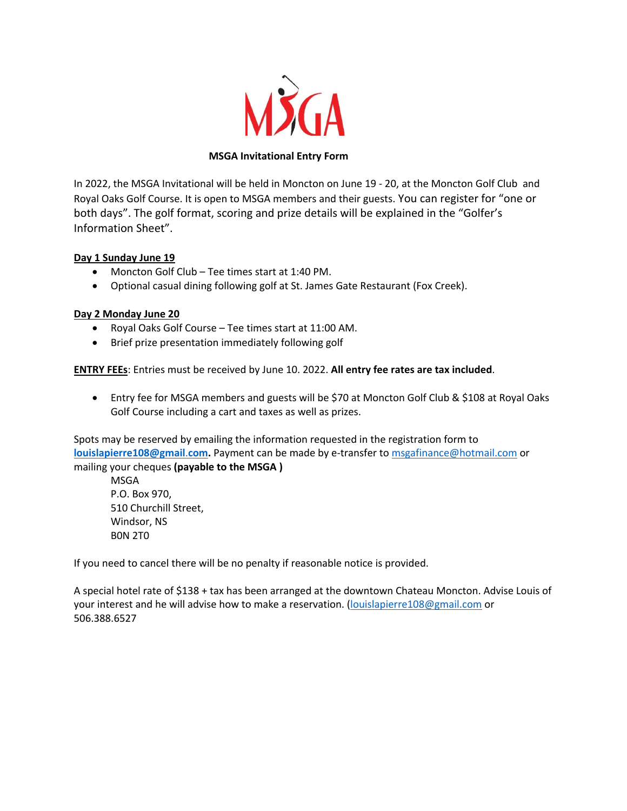

## **MSGA Invitational Entry Form**

In 2022, the MSGA Invitational will be held in Moncton on June 19 - 20, at the Moncton Golf Club and Royal Oaks Golf Course. It is open to MSGA members and their guests. You can register for "one or both days". The golf format, scoring and prize details will be explained in the "Golfer's Information Sheet".

### **Day 1 Sunday June 19**

- Moncton Golf Club Tee times start at 1:40 PM.
- Optional casual dining following golf at St. James Gate Restaurant (Fox Creek).

### **Day 2 Monday June 20**

- Royal Oaks Golf Course Tee times start at 11:00 AM.
- Brief prize presentation immediately following golf

**ENTRY FEEs**: Entries must be received by June 10. 2022. **All entry fee rates are tax included**.

• Entry fee for MSGA members and guests will be \$70 at Moncton Golf Club & \$108 at Royal Oaks Golf Course including a cart and taxes as well as prizes.

Spots may be reserved by emailing the information requested in the registration form to **louislapierre108@gmail**.**com.** Payment can be made by e-transfer to msgafinance@hotmail.com or mailing your cheques **(payable to the MSGA )**

MSGA P.O. Box 970, 510 Churchill Street, Windsor, NS B0N 2T0

If you need to cancel there will be no penalty if reasonable notice is provided.

A special hotel rate of \$138 + tax has been arranged at the downtown Chateau Moncton. Advise Louis of your interest and he will advise how to make a reservation. (louislapierre108@gmail.com or 506.388.6527